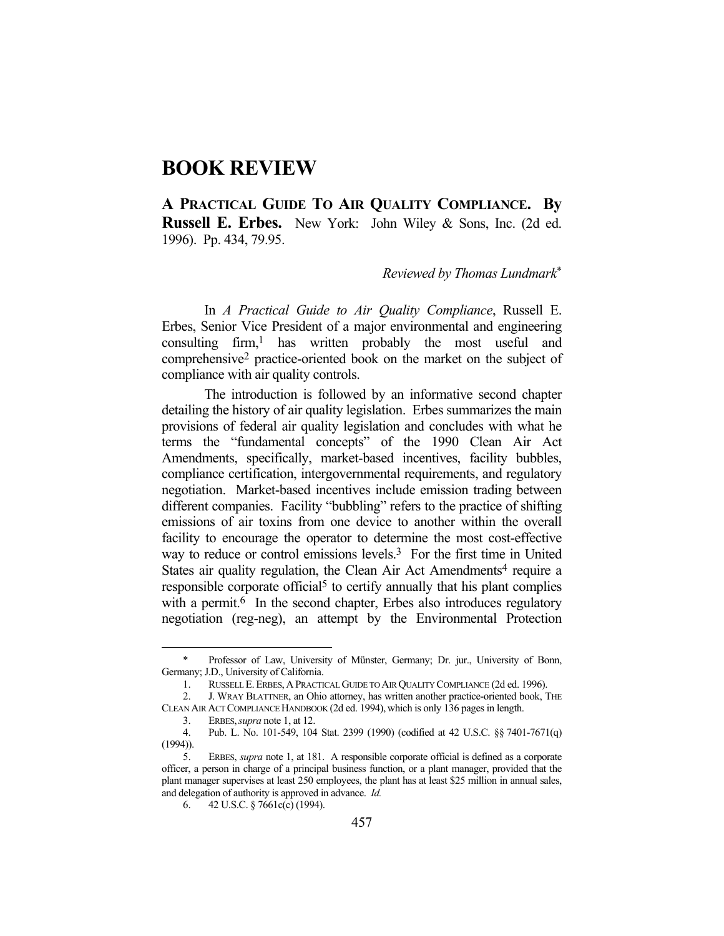## **BOOK REVIEW**

**A PRACTICAL GUIDE TO AIR QUALITY COMPLIANCE. By Russell E. Erbes.** New York: John Wiley & Sons, Inc. (2d ed. 1996). Pp. 434, 79.95.

## *Reviewed by Thomas Lundmark*\*

 In *A Practical Guide to Air Quality Compliance*, Russell E. Erbes, Senior Vice President of a major environmental and engineering consulting firm,<sup>1</sup> has written probably the most useful and comprehensive2 practice-oriented book on the market on the subject of compliance with air quality controls.

 The introduction is followed by an informative second chapter detailing the history of air quality legislation. Erbes summarizes the main provisions of federal air quality legislation and concludes with what he terms the "fundamental concepts" of the 1990 Clean Air Act Amendments, specifically, market-based incentives, facility bubbles, compliance certification, intergovernmental requirements, and regulatory negotiation. Market-based incentives include emission trading between different companies. Facility "bubbling" refers to the practice of shifting emissions of air toxins from one device to another within the overall facility to encourage the operator to determine the most cost-effective way to reduce or control emissions levels.3 For the first time in United States air quality regulation, the Clean Air Act Amendments<sup>4</sup> require a responsible corporate official<sup>5</sup> to certify annually that his plant complies with a permit.<sup>6</sup> In the second chapter, Erbes also introduces regulatory negotiation (reg-neg), an attempt by the Environmental Protection

<u>.</u>

 <sup>\*</sup> Professor of Law, University of Münster, Germany; Dr. jur., University of Bonn, Germany; J.D., University of California.

 <sup>1.</sup> RUSSELL E.ERBES,APRACTICAL GUIDE TO AIR QUALITY COMPLIANCE (2d ed. 1996).

 <sup>2.</sup> J. WRAY BLATTNER, an Ohio attorney, has written another practice-oriented book, THE CLEAN AIR ACT COMPLIANCE HANDBOOK (2d ed. 1994),which is only 136 pages in length.

 <sup>3.</sup> ERBES,*supra* note 1, at 12.

 <sup>4.</sup> Pub. L. No. 101-549, 104 Stat. 2399 (1990) (codified at 42 U.S.C. §§ 7401-7671(q)  $(1994)$ ).

 <sup>5.</sup> ERBES, *supra* note 1, at 181. A responsible corporate official is defined as a corporate officer, a person in charge of a principal business function, or a plant manager, provided that the plant manager supervises at least 250 employees, the plant has at least \$25 million in annual sales, and delegation of authority is approved in advance. *Id.*

 <sup>6. 42</sup> U.S.C. § 7661c(c) (1994).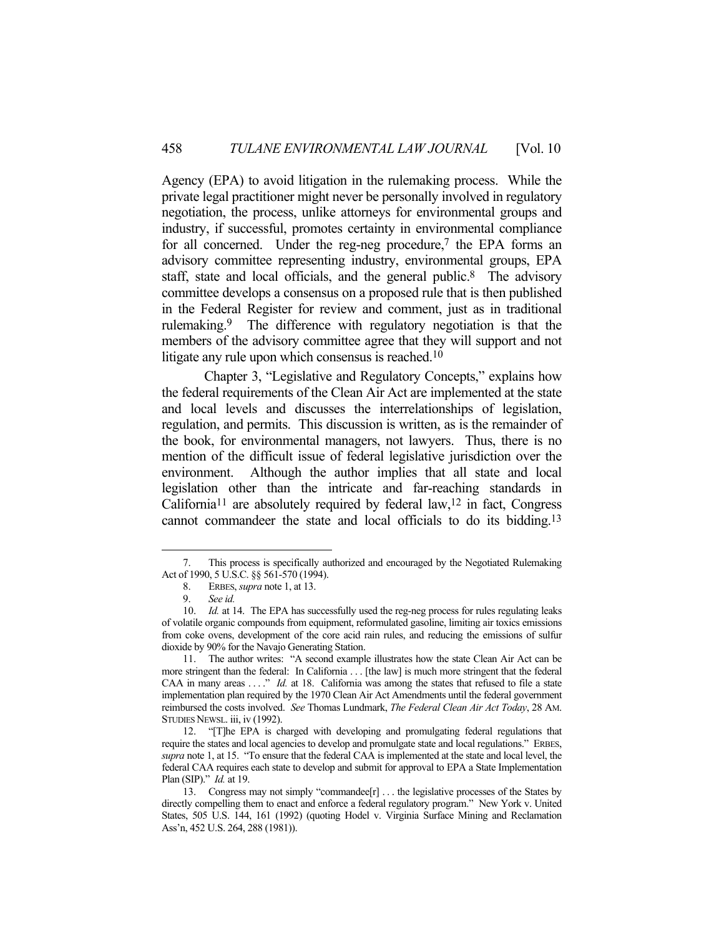Agency (EPA) to avoid litigation in the rulemaking process. While the private legal practitioner might never be personally involved in regulatory negotiation, the process, unlike attorneys for environmental groups and industry, if successful, promotes certainty in environmental compliance for all concerned. Under the reg-neg procedure, $7$  the EPA forms an advisory committee representing industry, environmental groups, EPA staff, state and local officials, and the general public.<sup>8</sup> The advisory committee develops a consensus on a proposed rule that is then published in the Federal Register for review and comment, just as in traditional rulemaking.9 The difference with regulatory negotiation is that the members of the advisory committee agree that they will support and not litigate any rule upon which consensus is reached.<sup>10</sup>

 Chapter 3, "Legislative and Regulatory Concepts," explains how the federal requirements of the Clean Air Act are implemented at the state and local levels and discusses the interrelationships of legislation, regulation, and permits. This discussion is written, as is the remainder of the book, for environmental managers, not lawyers. Thus, there is no mention of the difficult issue of federal legislative jurisdiction over the environment. Although the author implies that all state and local legislation other than the intricate and far-reaching standards in California<sup>11</sup> are absolutely required by federal law,<sup>12</sup> in fact, Congress cannot commandeer the state and local officials to do its bidding.13

<u>.</u>

 <sup>7.</sup> This process is specifically authorized and encouraged by the Negotiated Rulemaking Act of 1990, 5 U.S.C. §§ 561-570 (1994).

 <sup>8.</sup> ERBES, *supra* note 1, at 13.

 <sup>9.</sup> *See id.*

<sup>10.</sup> *Id.* at 14. The EPA has successfully used the reg-neg process for rules regulating leaks of volatile organic compounds from equipment, reformulated gasoline, limiting air toxics emissions from coke ovens, development of the core acid rain rules, and reducing the emissions of sulfur dioxide by 90% for the Navajo Generating Station.

 <sup>11.</sup> The author writes: "A second example illustrates how the state Clean Air Act can be more stringent than the federal: In California . . . [the law] is much more stringent that the federal CAA in many areas ...." *Id.* at 18. California was among the states that refused to file a state implementation plan required by the 1970 Clean Air Act Amendments until the federal government reimbursed the costs involved. *See* Thomas Lundmark, *The Federal Clean Air Act Today*, 28 AM. STUDIES NEWSL. iii, iv (1992).

 <sup>12. &</sup>quot;[T]he EPA is charged with developing and promulgating federal regulations that require the states and local agencies to develop and promulgate state and local regulations." ERBES, *supra* note 1, at 15. "To ensure that the federal CAA is implemented at the state and local level, the federal CAA requires each state to develop and submit for approval to EPA a State Implementation Plan (SIP)." *Id.* at 19.

 <sup>13.</sup> Congress may not simply "commandee[r] . . . the legislative processes of the States by directly compelling them to enact and enforce a federal regulatory program." New York v. United States, 505 U.S. 144, 161 (1992) (quoting Hodel v. Virginia Surface Mining and Reclamation Ass'n, 452 U.S. 264, 288 (1981)).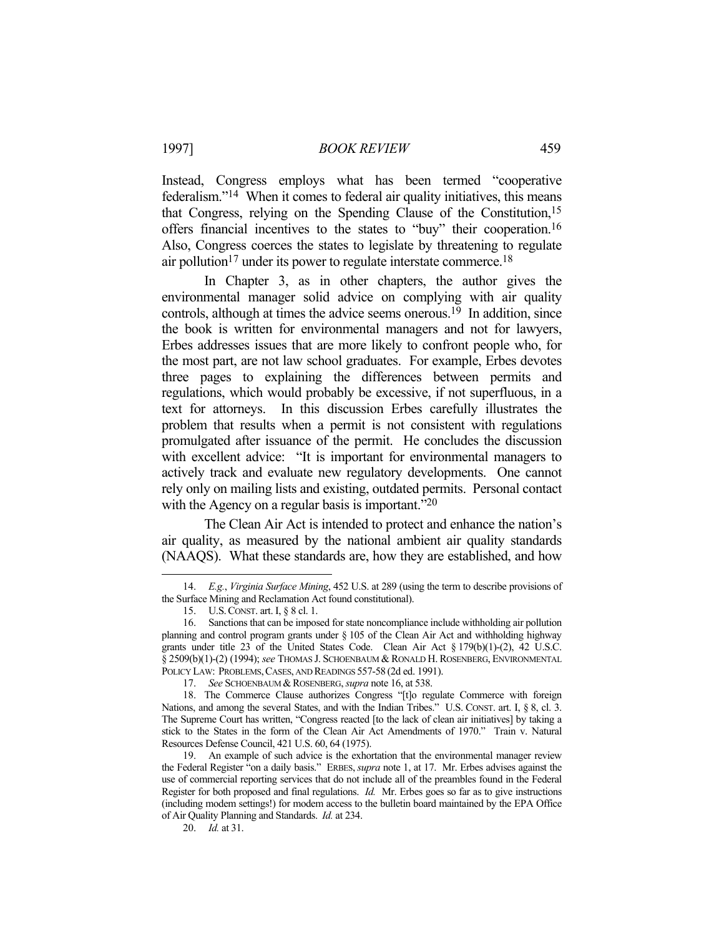## 1997] *BOOK REVIEW* 459

Instead, Congress employs what has been termed "cooperative federalism."14 When it comes to federal air quality initiatives, this means that Congress, relying on the Spending Clause of the Constitution,15 offers financial incentives to the states to "buy" their cooperation.16 Also, Congress coerces the states to legislate by threatening to regulate air pollution<sup>17</sup> under its power to regulate interstate commerce.<sup>18</sup>

 In Chapter 3, as in other chapters, the author gives the environmental manager solid advice on complying with air quality controls, although at times the advice seems onerous.<sup>19</sup> In addition, since the book is written for environmental managers and not for lawyers, Erbes addresses issues that are more likely to confront people who, for the most part, are not law school graduates. For example, Erbes devotes three pages to explaining the differences between permits and regulations, which would probably be excessive, if not superfluous, in a text for attorneys. In this discussion Erbes carefully illustrates the problem that results when a permit is not consistent with regulations promulgated after issuance of the permit. He concludes the discussion with excellent advice: "It is important for environmental managers to actively track and evaluate new regulatory developments. One cannot rely only on mailing lists and existing, outdated permits. Personal contact with the Agency on a regular basis is important."<sup>20</sup>

 The Clean Air Act is intended to protect and enhance the nation's air quality, as measured by the national ambient air quality standards (NAAQS). What these standards are, how they are established, and how

 <sup>14.</sup> *E.g.*, *Virginia Surface Mining*, 452 U.S. at 289 (using the term to describe provisions of the Surface Mining and Reclamation Act found constitutional).

 <sup>15.</sup> U.S.CONST. art. I, § 8 cl. 1.

 <sup>16.</sup> Sanctions that can be imposed for state noncompliance include withholding air pollution planning and control program grants under § 105 of the Clean Air Act and withholding highway grants under title 23 of the United States Code. Clean Air Act § 179(b)(1)-(2), 42 U.S.C. § 2509(b)(1)-(2) (1994); *see* THOMAS J. SCHOENBAUM & RONALD H. ROSENBERG, ENVIRONMENTAL POLICY LAW: PROBLEMS, CASES, AND READINGS 557-58 (2d ed. 1991).

<sup>17.</sup> See SCHOENBAUM & ROSENBERG, *supra* note 16, at 538.

 <sup>18.</sup> The Commerce Clause authorizes Congress "[t]o regulate Commerce with foreign Nations, and among the several States, and with the Indian Tribes." U.S. CONST. art. I, § 8, cl. 3. The Supreme Court has written, "Congress reacted [to the lack of clean air initiatives] by taking a stick to the States in the form of the Clean Air Act Amendments of 1970." Train v. Natural Resources Defense Council, 421 U.S. 60, 64 (1975).

 <sup>19.</sup> An example of such advice is the exhortation that the environmental manager review the Federal Register "on a daily basis." ERBES, *supra* note 1, at 17. Mr. Erbes advises against the use of commercial reporting services that do not include all of the preambles found in the Federal Register for both proposed and final regulations. *Id.* Mr. Erbes goes so far as to give instructions (including modem settings!) for modem access to the bulletin board maintained by the EPA Office of Air Quality Planning and Standards. *Id.* at 234.

 <sup>20.</sup> *Id.* at 31.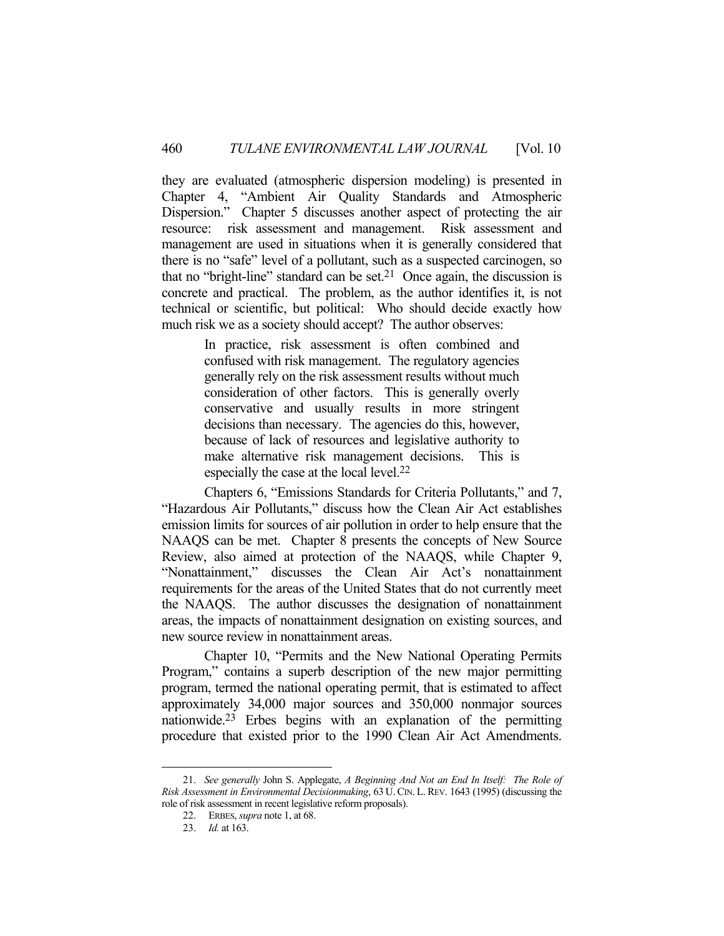they are evaluated (atmospheric dispersion modeling) is presented in Chapter 4, "Ambient Air Quality Standards and Atmospheric Dispersion." Chapter 5 discusses another aspect of protecting the air resource: risk assessment and management. Risk assessment and management are used in situations when it is generally considered that there is no "safe" level of a pollutant, such as a suspected carcinogen, so that no "bright-line" standard can be set.<sup>21</sup> Once again, the discussion is concrete and practical. The problem, as the author identifies it, is not technical or scientific, but political: Who should decide exactly how much risk we as a society should accept? The author observes:

> In practice, risk assessment is often combined and confused with risk management. The regulatory agencies generally rely on the risk assessment results without much consideration of other factors. This is generally overly conservative and usually results in more stringent decisions than necessary. The agencies do this, however, because of lack of resources and legislative authority to make alternative risk management decisions. This is especially the case at the local level.<sup>22</sup>

 Chapters 6, "Emissions Standards for Criteria Pollutants," and 7, "Hazardous Air Pollutants," discuss how the Clean Air Act establishes emission limits for sources of air pollution in order to help ensure that the NAAQS can be met. Chapter 8 presents the concepts of New Source Review, also aimed at protection of the NAAQS, while Chapter 9, "Nonattainment," discusses the Clean Air Act's nonattainment requirements for the areas of the United States that do not currently meet the NAAQS. The author discusses the designation of nonattainment areas, the impacts of nonattainment designation on existing sources, and new source review in nonattainment areas.

 Chapter 10, "Permits and the New National Operating Permits Program," contains a superb description of the new major permitting program, termed the national operating permit, that is estimated to affect approximately 34,000 major sources and 350,000 nonmajor sources nationwide.23 Erbes begins with an explanation of the permitting procedure that existed prior to the 1990 Clean Air Act Amendments.

 <sup>21.</sup> *See generally* John S. Applegate, *A Beginning And Not an End In Itself: The Role of Risk Assessment in Environmental Decisionmaking*, 63 U. CIN. L. REV. 1643 (1995) (discussing the role of risk assessment in recent legislative reform proposals).

 <sup>22.</sup> ERBES, *supra* note 1, at 68.

 <sup>23.</sup> *Id.* at 163.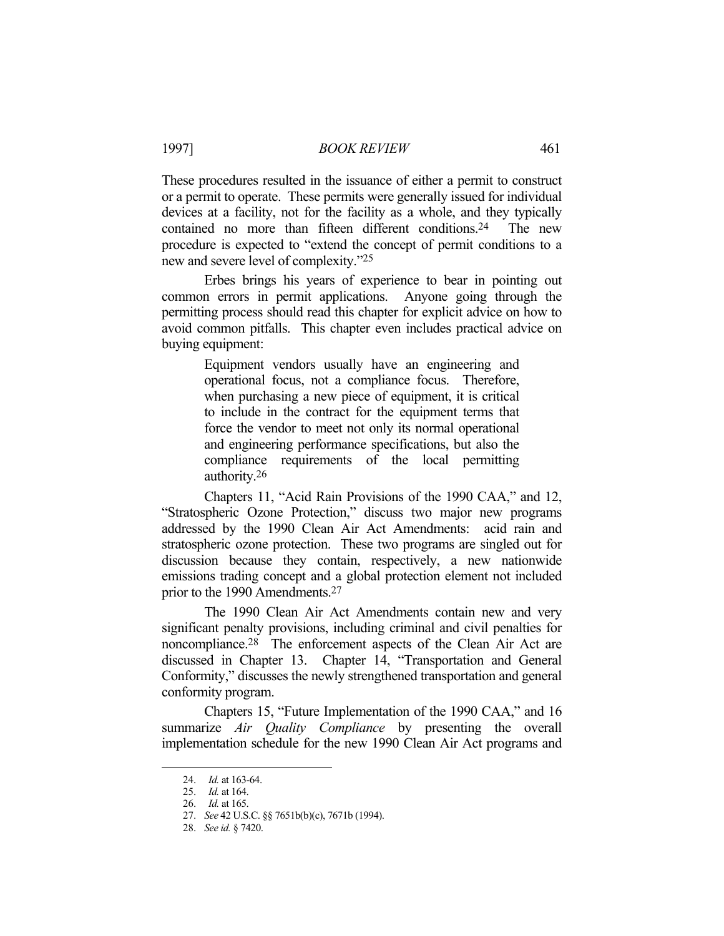These procedures resulted in the issuance of either a permit to construct or a permit to operate. These permits were generally issued for individual devices at a facility, not for the facility as a whole, and they typically contained no more than fifteen different conditions.<sup>24</sup> The new procedure is expected to "extend the concept of permit conditions to a new and severe level of complexity."25

 Erbes brings his years of experience to bear in pointing out common errors in permit applications. Anyone going through the permitting process should read this chapter for explicit advice on how to avoid common pitfalls. This chapter even includes practical advice on buying equipment:

> Equipment vendors usually have an engineering and operational focus, not a compliance focus. Therefore, when purchasing a new piece of equipment, it is critical to include in the contract for the equipment terms that force the vendor to meet not only its normal operational and engineering performance specifications, but also the compliance requirements of the local permitting authority.26

 Chapters 11, "Acid Rain Provisions of the 1990 CAA," and 12, "Stratospheric Ozone Protection," discuss two major new programs addressed by the 1990 Clean Air Act Amendments: acid rain and stratospheric ozone protection. These two programs are singled out for discussion because they contain, respectively, a new nationwide emissions trading concept and a global protection element not included prior to the 1990 Amendments.27

 The 1990 Clean Air Act Amendments contain new and very significant penalty provisions, including criminal and civil penalties for noncompliance.28 The enforcement aspects of the Clean Air Act are discussed in Chapter 13. Chapter 14, "Transportation and General Conformity," discusses the newly strengthened transportation and general conformity program.

 Chapters 15, "Future Implementation of the 1990 CAA," and 16 summarize *Air Quality Compliance* by presenting the overall implementation schedule for the new 1990 Clean Air Act programs and

 <sup>24.</sup> *Id.* at 163-64.

 <sup>25.</sup> *Id.* at 164.

 <sup>26.</sup> *Id.* at 165.

 <sup>27.</sup> *See* 42 U.S.C. §§ 7651b(b)(c), 7671b (1994).

 <sup>28.</sup> *See id.* § 7420.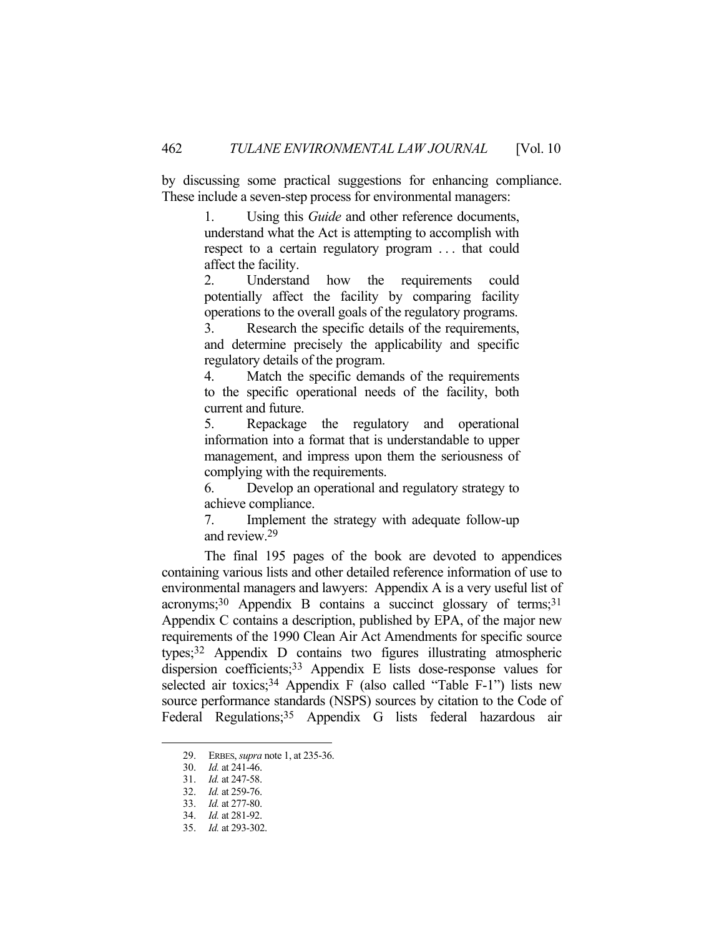by discussing some practical suggestions for enhancing compliance. These include a seven-step process for environmental managers:

> 1. Using this *Guide* and other reference documents, understand what the Act is attempting to accomplish with respect to a certain regulatory program . . . that could affect the facility.

> 2. Understand how the requirements could potentially affect the facility by comparing facility operations to the overall goals of the regulatory programs.

> 3. Research the specific details of the requirements, and determine precisely the applicability and specific regulatory details of the program.

> 4. Match the specific demands of the requirements to the specific operational needs of the facility, both current and future.

> 5. Repackage the regulatory and operational information into a format that is understandable to upper management, and impress upon them the seriousness of complying with the requirements.

> 6. Develop an operational and regulatory strategy to achieve compliance.

> 7. Implement the strategy with adequate follow-up and review.29

 The final 195 pages of the book are devoted to appendices containing various lists and other detailed reference information of use to environmental managers and lawyers: Appendix A is a very useful list of  $acronyms; <sup>30</sup> Appendix B contains a succinct glossary of terms; <sup>31</sup>$ Appendix C contains a description, published by EPA, of the major new requirements of the 1990 Clean Air Act Amendments for specific source types;32 Appendix D contains two figures illustrating atmospheric dispersion coefficients;<sup>33</sup> Appendix E lists dose-response values for selected air toxics;<sup>34</sup> Appendix F (also called "Table F-1") lists new source performance standards (NSPS) sources by citation to the Code of Federal Regulations;<sup>35</sup> Appendix G lists federal hazardous air

<u>.</u>

 <sup>29.</sup> ERBES, *supra* note 1, at 235-36.

 <sup>30.</sup> *Id.* at 241-46.

 <sup>31.</sup> *Id.* at 247-58.

 <sup>32.</sup> *Id.* at 259-76.

 <sup>33.</sup> *Id.* at 277-80.

 <sup>34.</sup> *Id.* at 281-92.

 <sup>35.</sup> *Id.* at 293-302.